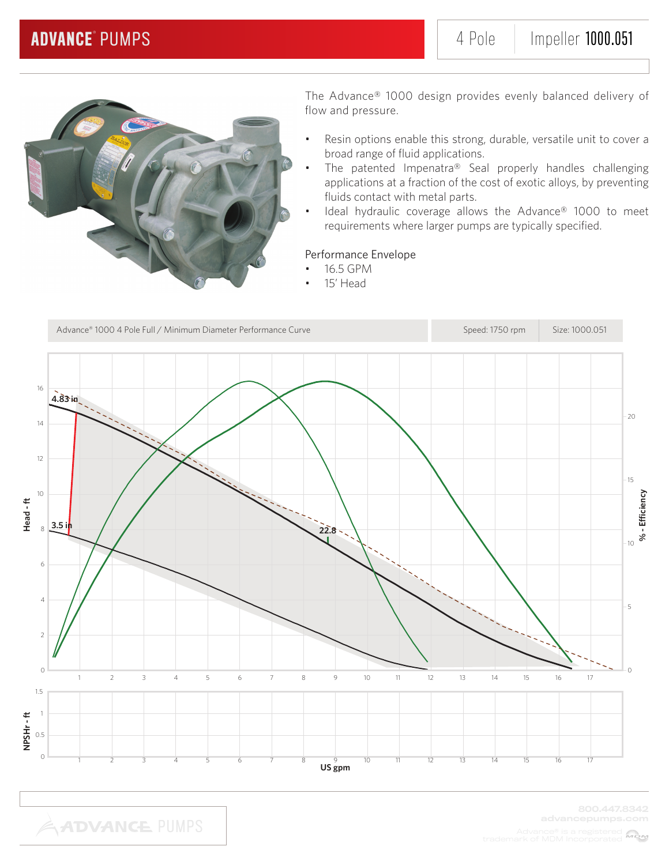

- Resin options enable this strong, durable, versatile unit to cover a broad range of fluid applications.
- The patented Impenatra® Seal properly handles challenging applications at a fraction of the cost of exotic alloys, by preventing fluids contact with metal parts.
- Ideal hydraulic coverage allows the Advance® 1000 to meet requirements where larger pumps are typically specified.

### Performance Envelope

- 16.5 GPM
	- 15' Head

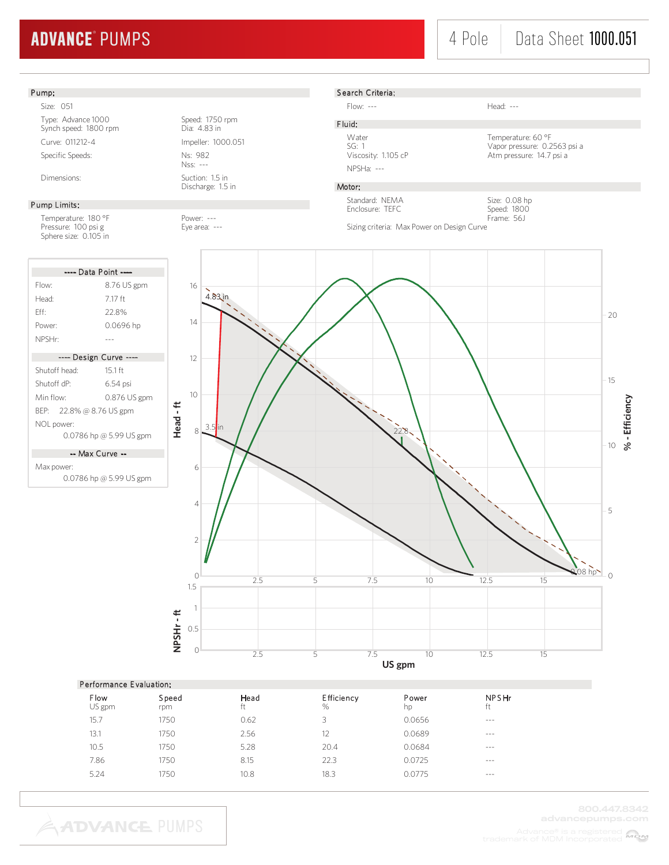## 4 Pole | Data Sheet 1000.051

### Pump:

Size: 051 Type: Advance 1000<br>
Synch speed: 1800 rpm<br>
Dia: 4.83 in Synch speed: 1800 rpm Curve: 011212-4 Impeller: 1000.051 Specific Speeds: Ns: 982

#### Pump Limits:

Temperature: 180 °F Power: ---<br>Pressure: 100 psi g extends the Eye area: ---Pressure: 100 psi g Sphere size: 0.105 in

| ---- Data Point ----     |                         |  |  |  |
|--------------------------|-------------------------|--|--|--|
| Flow:                    | 8.76 US gpm             |  |  |  |
| Head <sup>.</sup>        | 717 ft                  |  |  |  |
| Fff                      | 228%                    |  |  |  |
| Power:                   | 0.0696 hp               |  |  |  |
| NPSHr:                   |                         |  |  |  |
| ---- Design Curve ----   |                         |  |  |  |
| Shutoff head:            | $15.1$ ft               |  |  |  |
| Shutoff dP <sup>.</sup>  | 6.54 psi                |  |  |  |
| Min flow <sup>.</sup>    | 0.876 US gpm            |  |  |  |
| BEP: 22.8% @ 8.76 US gpm |                         |  |  |  |
| NOL power:               |                         |  |  |  |
|                          | 0.0786 hp @ 5.99 US gpm |  |  |  |

-- Max Curve --

Max power: 0.0786 hp @ 5.99 US gpm

Nss: --- Dimensions: Suction: 1.5 in

Discharge: 1.5 in



Flow: --- Head: ---

F luid: NPSHa: ---

Water Temperature: 60 °F<br>SG: 1 Vapor pressure: 0.2 SG: 1 Vapor pressure: 0.2563 psi a Atm pressure: 14.7 psi a

### Motor:

Standard: NEMA Enclosure: TEFC

Speed: 1800 Frame: 56J Sizing criteria: Max Power on Design Curve

Size: 0.08 hp



#### Performance E valuation:

**ADVANCE PUMPS** 

| Flow<br>US gpm | Speed<br>rpm | Head<br>ft | Efficiency<br>% | Power<br>hp | <b>NPSHr</b><br>ft |
|----------------|--------------|------------|-----------------|-------------|--------------------|
| 15.7           | 1750         | 0.62       | 3               | 0.0656      | $\cdots$           |
| 13.1           | 1750         | 2.56       | 12              | 0.0689      | $- - -$            |
| 10.5           | 1750         | 5.28       | 20.4            | 0.0684      | $- - -$            |
| 7.86           | 1750         | 8.15       | 22.3            | 0.0725      | $- - -$            |
| 5.24           | 1750         | 10.8       | 18.3            | 0.0775      | $- - -$            |
|                |              |            |                 |             |                    |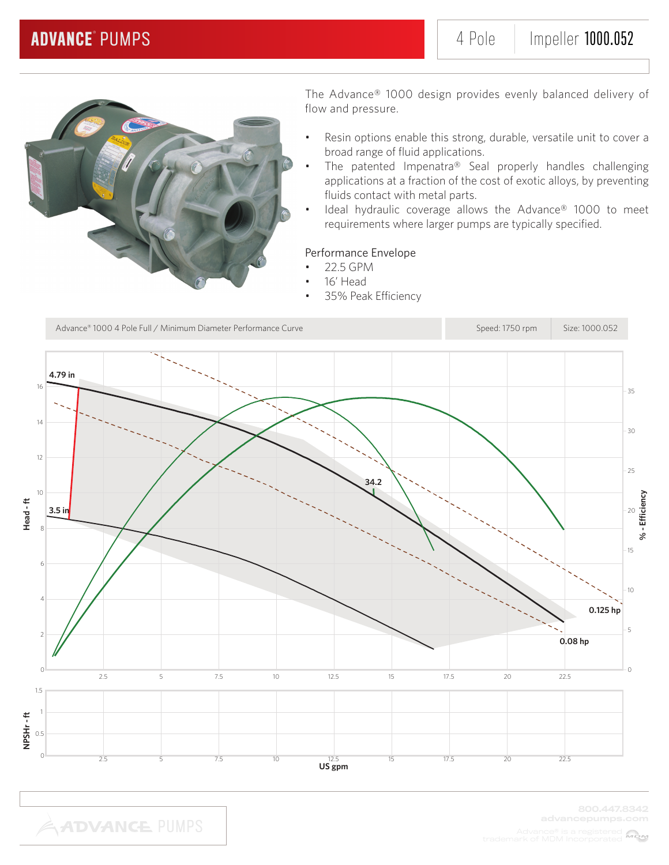

- Resin options enable this strong, durable, versatile unit to cover a broad range of fluid applications.
- The patented Impenatra® Seal properly handles challenging applications at a fraction of the cost of exotic alloys, by preventing fluids contact with metal parts.
- Ideal hydraulic coverage allows the Advance® 1000 to meet requirements where larger pumps are typically specified.

### Performance Envelope

- 22.5 GPM
- 16' Head
- 35% Peak Efficiency

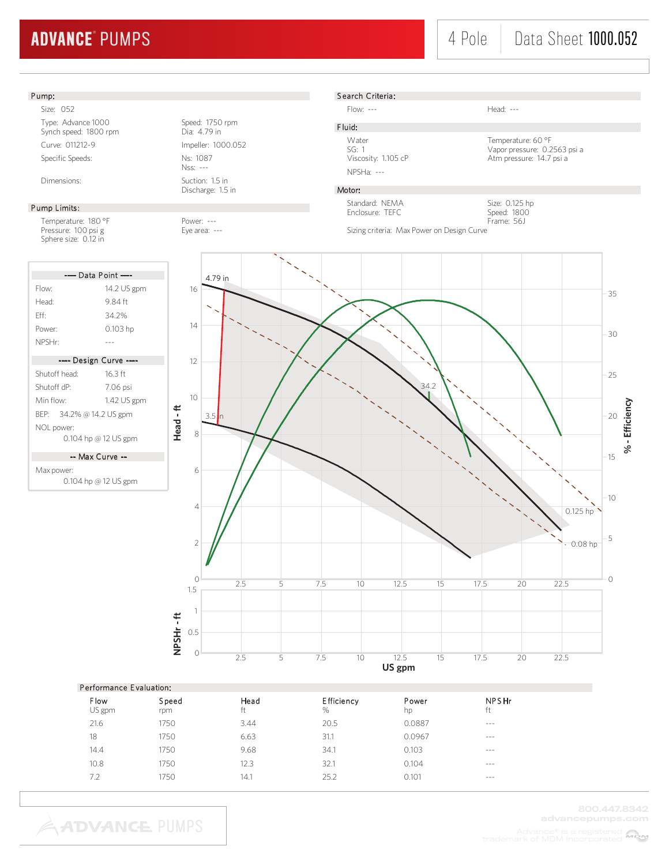## 4 Pole | Data Sheet 1000.052

#### Pump:

Size: 052 Type: Advance 1000<br>
Synch speed: 1800 rpm<br>
Dia: 4.79 in Synch speed: 1800 rpm Curve: 011212-9 Impeller: 1000.052 Specific Speeds: Ns: 1087

#### Pump Limits:

Temperature: 180 °F Power: ---<br>Pressure: 100 psi g Pressure: 100 psi g Pressure: 100 psi g Sphere size: 0.12 in

| ---- Data Point ----    |                        |  |  |  |  |
|-------------------------|------------------------|--|--|--|--|
| Flow:                   | 14.2 US gpm            |  |  |  |  |
| Head <sup>.</sup>       | 9 84 ft                |  |  |  |  |
| Fff                     | 34.2%                  |  |  |  |  |
| Power <sup>.</sup>      | 0.103 hp               |  |  |  |  |
| NPSHr <sup>.</sup>      |                        |  |  |  |  |
|                         |                        |  |  |  |  |
|                         | ---- Design Curve ---- |  |  |  |  |
| Shutoff head:           | $16.3$ ft              |  |  |  |  |
| Shutoff dP <sup>.</sup> | 7.06 psi               |  |  |  |  |
| Min flow <sup>.</sup>   | 1.42 US gpm            |  |  |  |  |

BEP: 34.2% @ 14.2 US gpm NOL power: 0.104 hp @ 12 US gpm

-- Max Curve --

Max power: 0.104 hp @ 12 US gpm

Nss: --- Dimensions: Suction: 1.5 in

Discharge: 1.5 in



Search Criteria:

Flow: --- Head: ---

F luid:

NPSHa: ---

Water Temperature: 60 °F<br>SG: 1 Vapor pressure: 0.2 SG: 1 Vapor pressure: 0.2563 psi a Atm pressure: 14.7 psi a

### Motor:

Standard: NEMA Enclosure: TEFC



Sizing criteria: Max Power on Design Curve



| Performance Evaluation: |              |            |                        |             |             |  |  |  |
|-------------------------|--------------|------------|------------------------|-------------|-------------|--|--|--|
| Flow<br>US gpm          | Speed<br>rpm | Head<br>ft | <b>Efficiency</b><br>% | Power<br>hp | NPSHr<br>ft |  |  |  |
| 21.6                    | 1750         | 3.44       | 20.5                   | 0.0887      | $- - - -$   |  |  |  |
| 18                      | 1750         | 6.63       | 31.1                   | 0.0967      | $- - - -$   |  |  |  |
| 14.4                    | 1750         | 9.68       | 34.1                   | 0.103       | $- - -$     |  |  |  |
| 10.8                    | 1750         | 12.3       | 32.1                   | 0.104       | $- - -$     |  |  |  |
| 7.2                     | 1750         | 14.1       | 25.2                   | 0.101       | $- - -$     |  |  |  |
|                         |              |            |                        |             |             |  |  |  |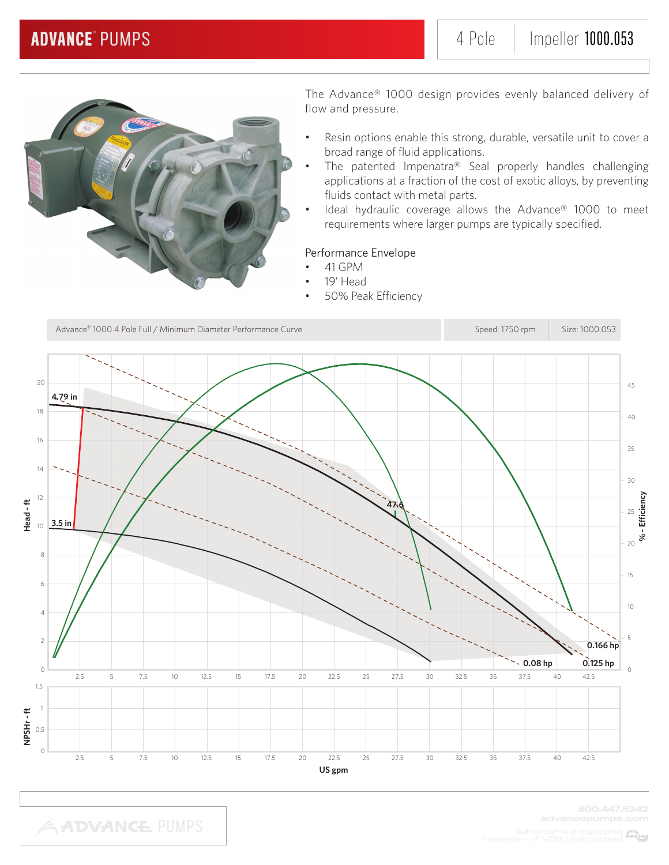

- Resin options enable this strong, durable, versatile unit to cover a broad range of fluid applications.
- The patented Impenatra® Seal properly handles challenging applications at a fraction of the cost of exotic alloys, by preventing fluids contact with metal parts.
- Ideal hydraulic coverage allows the Advance® 1000 to meet requirements where larger pumps are typically specified.

### Performance Envelope

- 41 GPM
	- 19' Head
- 50% Peak Efficiency

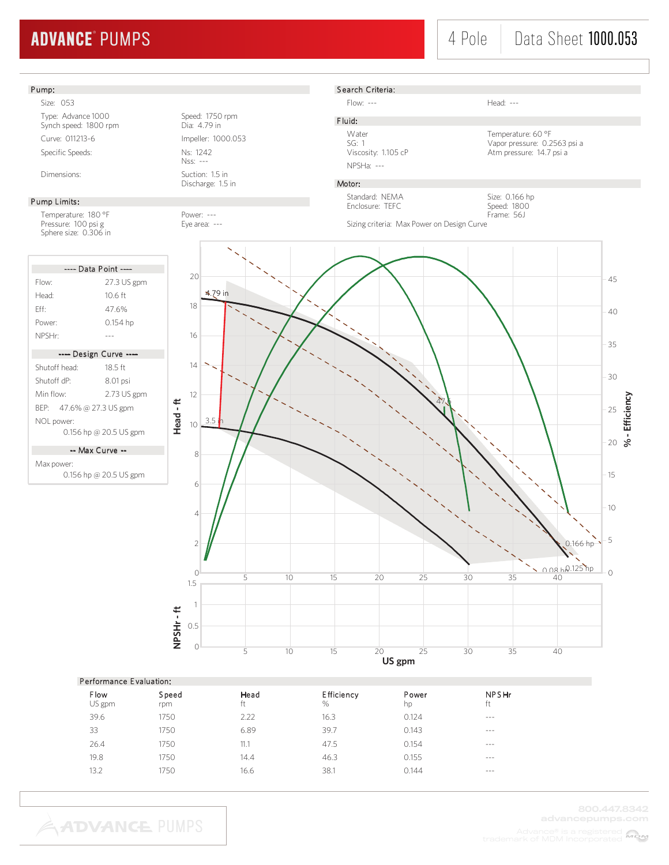## 4 Pole | Data Sheet 1000.053

#### Pump: Size: 053 Type: Advance 1000 Speed: 1750 rpm<br>Synch speed: 1800 rpm Dia: 4.79 in Synch speed: 1800 rpm Curve: 011213-6 Impeller: 1000.053 Specific Speeds: Ns: 1242 Nss: --- Dimensions: Suction: 1.5 in Discharge: 1.5 in Pump Limits: Temperature: 180 °F Power: ---Pressure: 100 psi g Eye area: ---Sphere size: 0.306 in S earch Criteria: Flow: --- Head: ---F luid: Water Temperature: 60 °F<br>SG: 1 Vapor pressure: 0.2 SG: 1 Vapor pressure: 0.2563 psi a<br>Viscosity: 1.105 cP 1.105 Atm pressure: 14.7 psi a Atm pressure: 14.7 psi a NPSHa: --- Motor: Size: 0.166 hp Speed: 1800 Frame: 56J Standard: NEMA Enclosure: TEFC Sizing criteria: Max Power on Design Curve ---- Data Point ----Flow: 27.3 US gpm Head: 10.6 ft Eff: 47.6% Power: 0.154 hp NPSHr: ------- Design Curve ---- Shutoff head: 18.5 ft Shutoff dP: 8.01 psi Min flow: 2.73 US gpm BEP: 47.6% @ 27.3 US gpm NOL power: 0.156 hp @ 20.5 US gpm -- Max Curve -- Max power: 0.156 hp @ 20.5 US gpm 1 1.5 **Head - ft %**20 0 5 10 15 25 30 35 40 45  $0$  5 10 15 20 25 30 35 40 2 4 30 6 25 8 10 20 12 15 14 16 10 18 5 20 47.6 4.79 in  $3.5$ 0.08 hp 0.125 hp .<br>0.166 hp<sup>-</sup>

#### Performance E valuation:

**NPSHr - ft**

NPSHr-ft

0.5

| Flow<br>US gpm | Speed<br>rpm | Head<br>ft | Efficiency<br>% | Power<br>hp | <b>NPSHr</b><br>ft |
|----------------|--------------|------------|-----------------|-------------|--------------------|
| 39.6           | 1750         | 2.22       | 16.3            | 0.124       | $- - -$            |
| 33             | 1750         | 6.89       | 39.7            | 0.143       | $- - -$            |
| 26.4           | 1750         | 11.1       | 47.5            | 0.154       | $- - -$            |
| 19.8           | 1750         | 14.4       | 46.3            | 0.155       | $- - -$            |
| 13.2           | 1750         | 16.6       | 38.1            | 0.144       | $- - -$            |
|                |              |            |                 |             |                    |

**US gpm**

 $0$  5 10 15 20 25 30 35 40

**- Efficiency**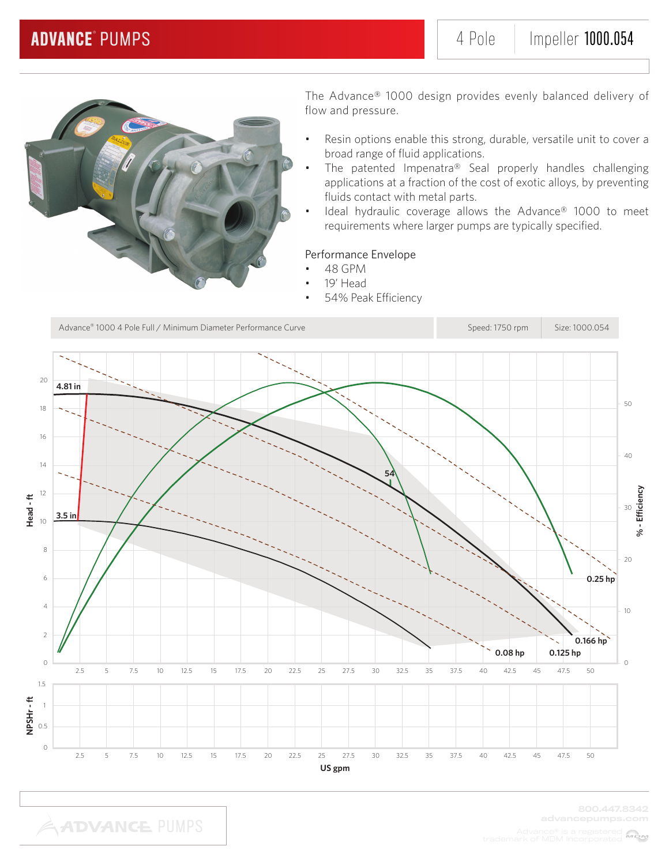

- Resin options enable this strong, durable, versatile unit to cover a broad range of fluid applications.
- The patented Impenatra® Seal properly handles challenging applications at a fraction of the cost of exotic alloys, by preventing fluids contact with metal parts.
- Ideal hydraulic coverage allows the Advance® 1000 to meet requirements where larger pumps are typically specified.

### Performance Envelope

- 48 GPM
	- 19' Head
- 54% Peak Efficiency

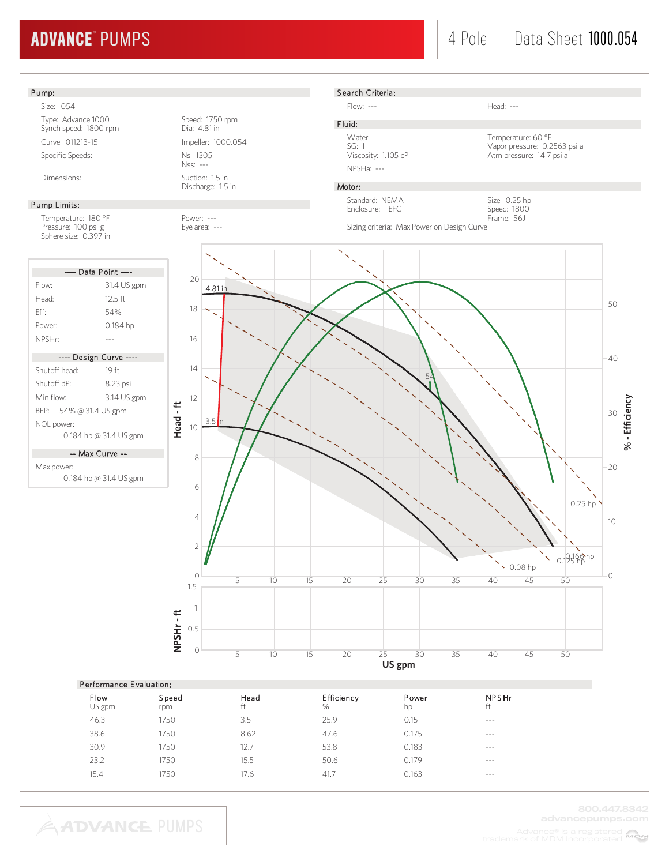## 4 Pole Data Sheet 1000.054

### Pump:

Size: 054 Type: Advance 1000 Speed: 1750 rpm Synch speed: 1800 rpm Dia: 4.81 in Curve: 011213-15 Impeller: 1000.054 Specific Speeds: Ns: 1305

#### Pump Limits:

Temperature: 180 °F Power: ---<br>Pressure: 100 psi g extends the Eye area: ---Pressure: 100 psi g Sphere size: 0.397 in

| ---- Data Point ----   |             |  |  |  |  |
|------------------------|-------------|--|--|--|--|
| Flow:                  | 31.4 US gpm |  |  |  |  |
| Head <sup>.</sup>      | $12.5$ ft   |  |  |  |  |
| Fff                    | 54%         |  |  |  |  |
| Power:                 | 0.184 hp    |  |  |  |  |
| NPSHr <sup>.</sup>     |             |  |  |  |  |
|                        |             |  |  |  |  |
|                        |             |  |  |  |  |
| ---- Design Curve ---- |             |  |  |  |  |
| Shutoff head:          | 19 ft       |  |  |  |  |
| Shutoff dP:            | 8.23 psi    |  |  |  |  |
| Min flow <sup>.</sup>  | 3.14 US gpm |  |  |  |  |
| BEP: 54% @ 31.4 US gpm |             |  |  |  |  |
| NOL power:             |             |  |  |  |  |

-- Max Curve --

Max power: 0.184 hp @ 31.4 US gpm

Nss: --- Dimensions: Suction: 1.5 in



#### S earch Criteria:

Flow: --- **Head: ---**

NPSHa: ---

Water Temperature: 60 °F<br>SG: 1 Vapor pressure: 0.2 SG: 1<br>Viapor pressure: 0.2563 psi a<br>Viscosity: 1.105 cP<br>Atm pressure: 14.7 psi a Atm pressure: 14.7 psi a

> Size: 0.25 hp Speed: 1800 Frame: 56J

### Motor:

F luid:

Standard: NEMA Enclosure: TEFC

Sizing criteria: Max Power on Design Curve



#### Performance E valuation:

**ADVANCE PUMPS** 

| Flow<br>US gpm | Speed<br>rpm | Head<br>ft | <b>Efficiency</b><br>$\%$ | Power<br>hp | NPSHr<br>ft |
|----------------|--------------|------------|---------------------------|-------------|-------------|
| 46.3           | 1750         | 3.5        | 25.9                      | 0.15        | $- - -$     |
| 38.6           | 1750         | 8.62       | 47.6                      | 0.175       | $- - -$     |
| 30.9           | 1750         | 12.7       | 53.8                      | 0.183       | $- - -$     |
| 23.2           | 1750         | 15.5       | 50.6                      | 0.179       | $- - -$     |
| 15.4           | 1750         | 17.6       | 41.7                      | 0.163       | $- - -$     |
|                |              |            |                           |             |             |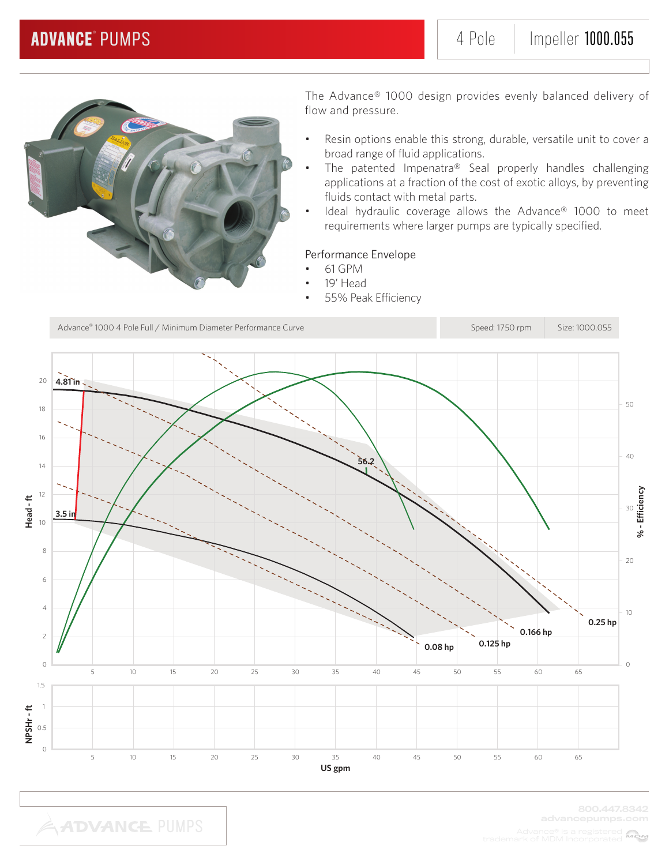

- Resin options enable this strong, durable, versatile unit to cover a broad range of fluid applications.
- The patented Impenatra® Seal properly handles challenging applications at a fraction of the cost of exotic alloys, by preventing fluids contact with metal parts.
- Ideal hydraulic coverage allows the Advance® 1000 to meet requirements where larger pumps are typically specified.

### Performance Envelope

- 61 GPM
	- 19' Head
- 55% Peak Efficiency

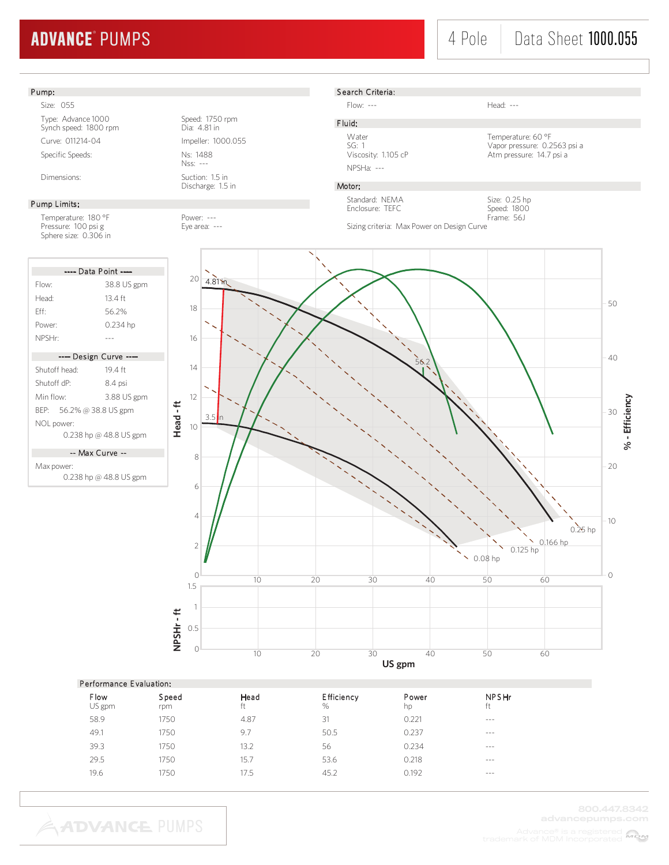## 4 Pole | Data Sheet 1000.055

### Pump:

Size: 055

Type: Advance 1000 Speed: 1750 rpm Synch speed: 1800 rpm Dia: 4.81 in Curve: 011214-04 Impeller: 1000.055 Specific Speeds: Ns: 1488

#### Pump Limits:

Temperature: 180 °F Power: ---<br>Pressure: 100 psi g extends the Eye area: ---Pressure: 100 psi g Sphere size: 0.306 in

| ---- Data Point ----     |             |  |  |  |  |
|--------------------------|-------------|--|--|--|--|
| Flow:                    | 38.8 US gpm |  |  |  |  |
| Head <sup>.</sup>        | 13 4 ft     |  |  |  |  |
| Fff                      | 562%        |  |  |  |  |
| Power:                   | 0.234 hp    |  |  |  |  |
| NPSHr:                   |             |  |  |  |  |
| ---- Design Curve ----   |             |  |  |  |  |
|                          |             |  |  |  |  |
| Shutoff head:            | 194 ft      |  |  |  |  |
| Shutoff dP <sup>.</sup>  | 8.4 psi     |  |  |  |  |
| Min flow <sup>.</sup>    | 3.88 US gpm |  |  |  |  |
| BEP: 56.2% @ 38.8 US gpm |             |  |  |  |  |
| NOL power:               |             |  |  |  |  |
| 0.238 hp @ 48.8 US gpm   |             |  |  |  |  |

-- Max Curve --

Max power: 0.238 hp @ 48.8 US gpm

Nss: --- Dimensions: Suction: 1.5 in

Discharge: 1.5 in

S earch Criteria:

Flow: --- Head: ---

F luid:

Water **Temperature: 60 °F** SG: 1 Vapor pressure: 0.2563 psi a Viscosity: 1.105 cP Atm pressure: 14.7 psi a

#### Motor:

NPSHa: ---

Standard: NEMA Enclosure: TEFC

Size: 0.25 hp Speed: 1800 Frame: 56J





| Performance Evaluation: |  |
|-------------------------|--|
|-------------------------|--|

| .<br>_ . _ . _ _ |              |            |                        |             |                    |
|------------------|--------------|------------|------------------------|-------------|--------------------|
| Flow<br>US gpm   | Speed<br>rpm | Head<br>ft | <b>Efficiency</b><br>% | Power<br>hp | <b>NPSHr</b><br>ft |
| 58.9             | 1750         | 4.87       | 31                     | 0.221       | $- - -$            |
| 49.1             | 1750         | 9.7        | 50.5                   | 0.237       | $- - -$            |
| 39.3             | 1750         | 13.2       | 56                     | 0.234       | $- - -$            |
| 29.5             | 1750         | 15.7       | 53.6                   | 0.218       | $- - -$            |
| 19.6             | 1750         | 17.5       | 45.2                   | 0.192       | $- - -$            |
|                  |              |            |                        |             |                    |

**ADVANCE PUMPS**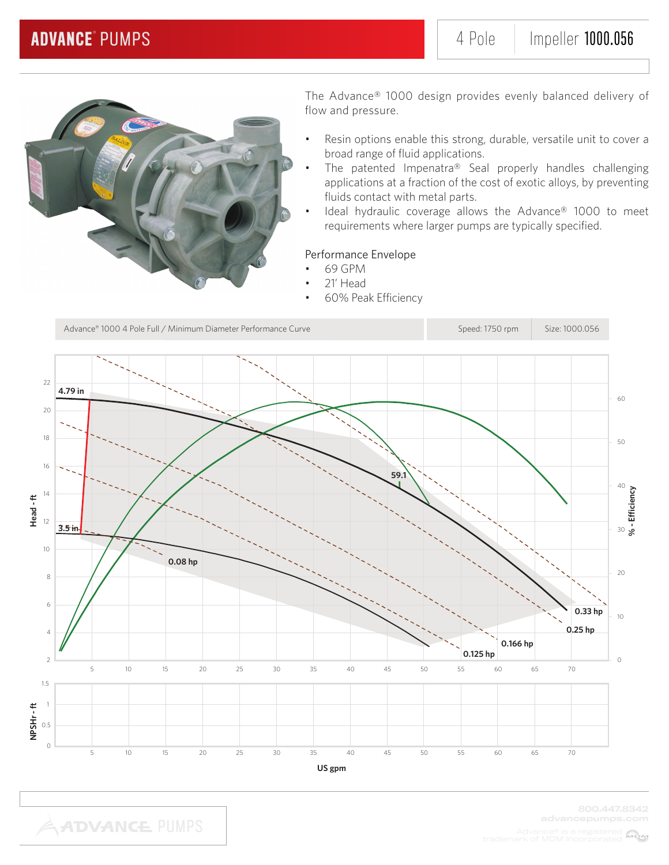

- Resin options enable this strong, durable, versatile unit to cover a broad range of fluid applications.
- The patented Impenatra® Seal properly handles challenging applications at a fraction of the cost of exotic alloys, by preventing fluids contact with metal parts.
- Ideal hydraulic coverage allows the Advance® 1000 to meet requirements where larger pumps are typically specified.

### Performance Envelope

- 69 GPM
	- 21' Head
- 60% Peak Efficiency

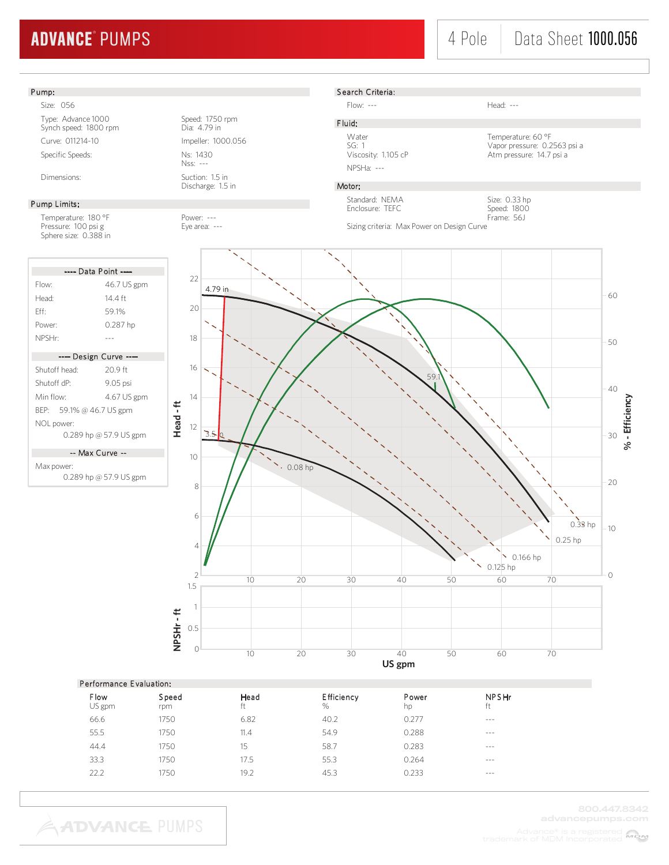## 4 Pole Data Sheet 1000.056

#### Pump:

Size: 056

Type: Advance 1000 Speed: 1750 rpm Synch speed: 1800 rpm Dia: 4.79 in Curve: 011214-10 Impeller: 1000.056 Specific Speeds: Ns: 1430

#### Pump Limits:

Temperature: 180 °F Power: ---<br>Pressure: 100 psi g extends the Eye area: ---Pressure: 100 psi g Sphere size: 0.388 in

| ---- Data Point ----     |             |  |  |  |  |
|--------------------------|-------------|--|--|--|--|
| Flow:                    | 46.7 US gpm |  |  |  |  |
| Head:                    | 14 4 ft     |  |  |  |  |
| Fff                      | 591%        |  |  |  |  |
| Power:                   | 0.287 hp    |  |  |  |  |
| NPSHr:                   |             |  |  |  |  |
| ---- Design Curve ----   |             |  |  |  |  |
| Shutoff head:            | $209$ ft    |  |  |  |  |
| Shutoff dP <sup>.</sup>  | 9.05 psi    |  |  |  |  |
| Min flow:                | 4.67 US gpm |  |  |  |  |
| BEP: 59.1% @ 46.7 US gpm |             |  |  |  |  |
| NOL power:               |             |  |  |  |  |

0.289 hp @ 57.9 US gpm

-- Max Curve --

Max power: 0.289 hp @ 57.9 US gpm

Nss: --- Dimensions: Suction: 1.5 in

Discharge: 1.5 in



Flow: --- Head: ---

F luid: NPSHa: ---

Water Temperature: 60 °F SG: 1 Vapor pressure: 0.2563 psi a Viscosity: 1.105 cP Atm pressure: 14.7 psi a

> Size: 0.33 hp Speed: 1800

#### Motor:

Standard: NEMA Enclosure: TEFC

Frame: 56J Sizing criteria: Max Power on Design Curve



### Performance E valuation:

| <b>Flow</b><br>US gpm | Speed<br>rpm | Head<br>ft | Efficiency<br>$\%$ | Power<br>hp | <b>NPSHr</b><br>ft |  |
|-----------------------|--------------|------------|--------------------|-------------|--------------------|--|
| 66.6                  | 1750         | 6.82       | 40.2               | 0.277       | $- - -$            |  |
| 55.5                  | 1750         | 11.4       | 54.9               | 0.288       | $---$              |  |
| 44.4                  | 1750         | 15         | 58.7               | 0.283       | $- - -$            |  |
| 33.3                  | 1750         | 17.5       | 55.3               | 0.264       | $- - -$            |  |
| 22.2                  | 1750         | 19.2       | 45.3               | 0.233       | $- - -$            |  |
|                       |              |            |                    |             |                    |  |

**ADVANCE PUMPS**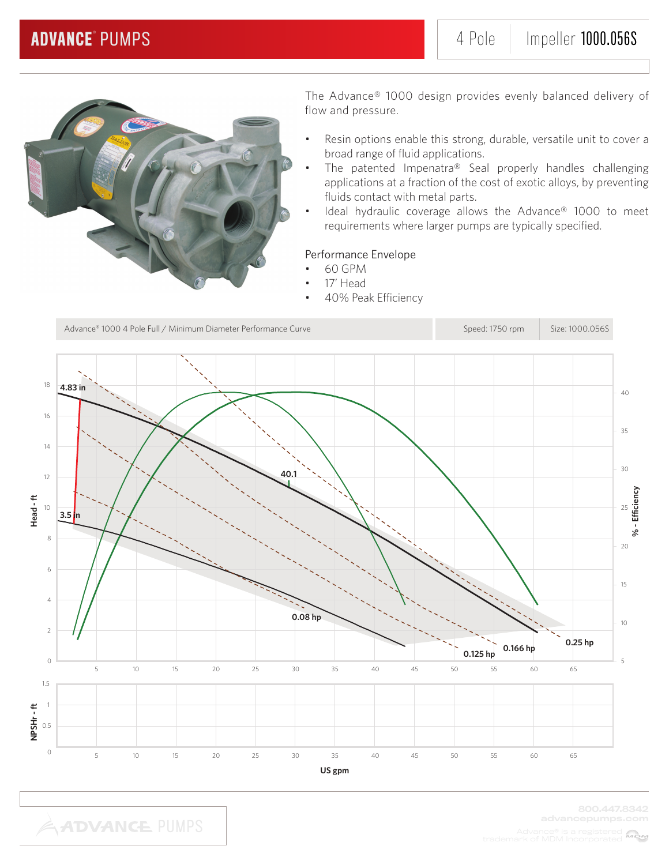

- Resin options enable this strong, durable, versatile unit to cover a broad range of fluid applications.
- The patented Impenatra® Seal properly handles challenging applications at a fraction of the cost of exotic alloys, by preventing fluids contact with metal parts.
- Ideal hydraulic coverage allows the Advance® 1000 to meet requirements where larger pumps are typically specified.

### Performance Envelope

- 60 GPM
- 17' Head
- 40% Peak Efficiency

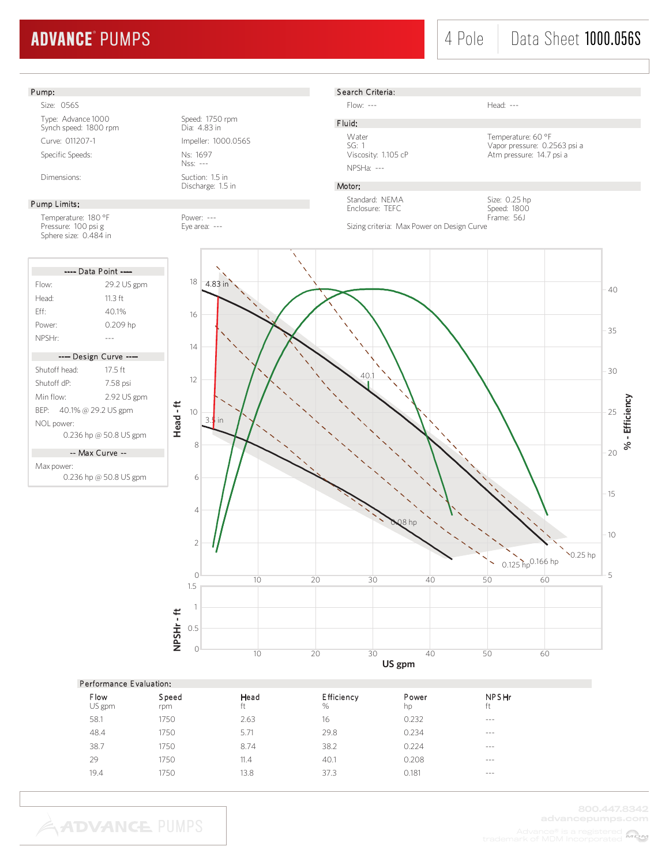### Pump:

Size: 056S

Type: Advance 1000 Speed: 1750 rpm Synch speed: 1800 rpm Dia: 4.83 in Curve: 011207-1 Impeller: 1000.056S Specific Speeds: Ns: 1697

#### Pump Limits:

Temperature: 180 °F Power: ---<br>Pressure: 100 psi g extends the Eye area: ---Pressure: 100 psi g extending the Eye area: ---Sphere size: 0.484 in

| ---- Data Point ----     |             |  |  |  |  |
|--------------------------|-------------|--|--|--|--|
| Flow:                    | 29.2 US gpm |  |  |  |  |
| Head <sup>.</sup>        | 11 3 ft     |  |  |  |  |
| Fff                      | 40.1%       |  |  |  |  |
| Power:                   | 0.209 hp    |  |  |  |  |
| NPSHr <sup>.</sup>       |             |  |  |  |  |
|                          |             |  |  |  |  |
| ---- Design Curve ----   |             |  |  |  |  |
|                          |             |  |  |  |  |
| Shutoff head:            | $17.5$ ft   |  |  |  |  |
| Shutoff dP <sup>.</sup>  | 7.58 psi    |  |  |  |  |
| Min flow <sup>.</sup>    | 2.92 US gpm |  |  |  |  |
| BEP: 40.1% @ 29.2 US gpm |             |  |  |  |  |
| NOL power:               |             |  |  |  |  |

-- Max Curve --

Max power:

0.236 hp @ 50.8 US gpm

Nss: --- Dimensions: Suction: 1.5 in

Discharge: 1.5 in

S earch Criteria:

Flow: --- Head: ---

F luid:

NPSHa: ---

Water **Temperature: 60 °F** SG: 1 Vapor pressure: 0.2563 psi a Viscosity: 1.105 cP Atm pressure: 14.7 psi a

### Motor:

Standard: NEMA Enclosure: TEFC

Size: 0.25 hp Speed: 1800 Frame: 56J





| Performance Evaluation: |  |
|-------------------------|--|
|                         |  |

| Flow<br>US gpm | Speed<br>rpm | Head<br>ft | Efficiency<br>$\%$ | Power<br>hp | <b>NPSHr</b><br>ft |
|----------------|--------------|------------|--------------------|-------------|--------------------|
| 58.1           | 1750         | 2.63       | 16                 | 0.232       | $- - -$            |
| 48.4           | 1750         | 5.71       | 29.8               | 0.234       | $\cdots$           |
| 38.7           | 1750         | 8.74       | 38.2               | 0.224       | $- - -$            |
| 29             | 1750         | 11.4       | 40.1               | 0.208       | $- - -$            |
| 19.4           | 1750         | 13.8       | 37.3               | 0.181       | $- - -$            |
|                |              |            |                    |             |                    |

**ADVANCE PUMPS**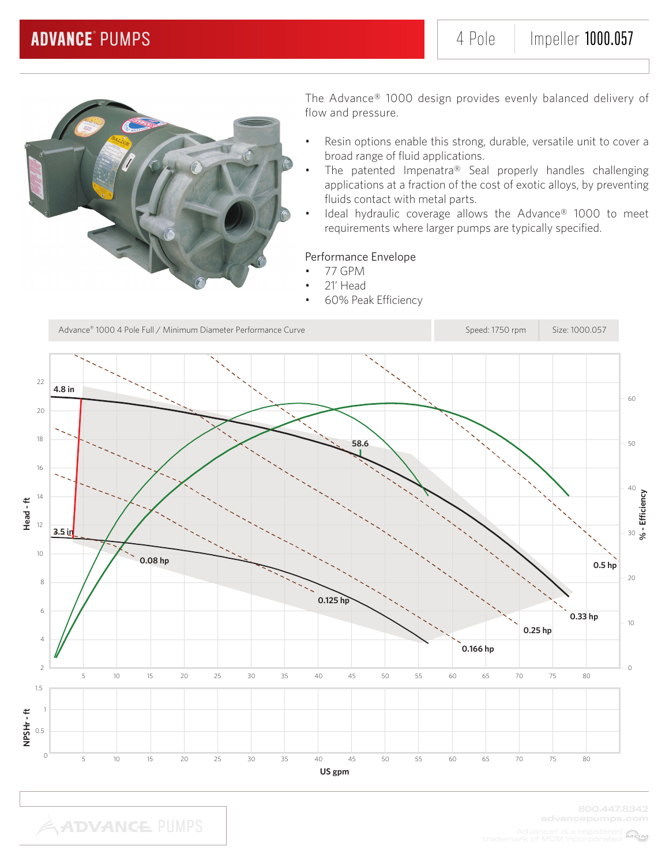

- Resin options enable this strong, durable, versatile unit to cover a broad range of fluid applications.
- The patented Impenatra® Seal properly handles challenging applications at a fraction of the cost of exotic alloys, by preventing fluids contact with metal parts.
- Ideal hydraulic coverage allows the Advance® 1000 to meet requirements where larger pumps are typically specified.

### Performance Envelope

- 77 GPM
- 21' Head
- 60% Peak Efficiency



**ADVANCE PUMPS** 

MOM